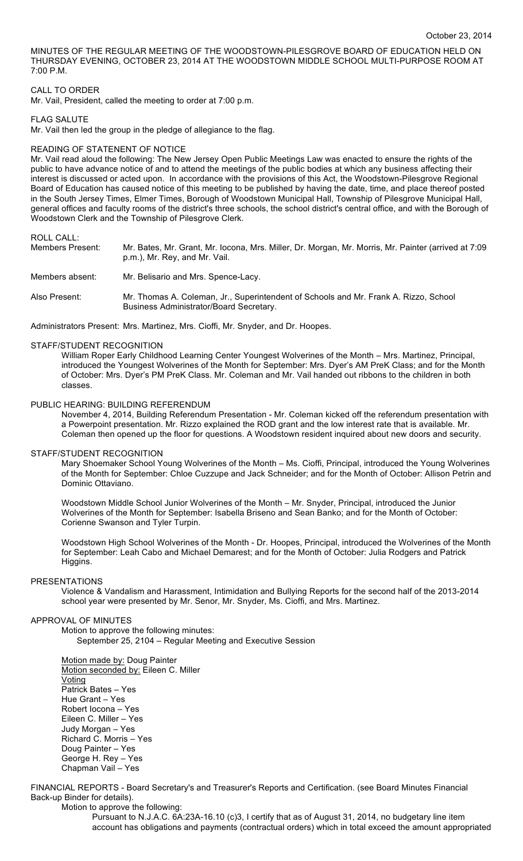MINUTES OF THE REGULAR MEETING OF THE WOODSTOWN-PILESGROVE BOARD OF EDUCATION HELD ON THURSDAY EVENING, OCTOBER 23, 2014 AT THE WOODSTOWN MIDDLE SCHOOL MULTI-PURPOSE ROOM AT 7:00 P.M.

## CALL TO ORDER

Mr. Vail, President, called the meeting to order at 7:00 p.m.

## FLAG SALUTE

Mr. Vail then led the group in the pledge of allegiance to the flag.

### READING OF STATENENT OF NOTICE

Mr. Vail read aloud the following: The New Jersey Open Public Meetings Law was enacted to ensure the rights of the public to have advance notice of and to attend the meetings of the public bodies at which any business affecting their interest is discussed or acted upon. In accordance with the provisions of this Act, the Woodstown-Pilesgrove Regional Board of Education has caused notice of this meeting to be published by having the date, time, and place thereof posted in the South Jersey Times, Elmer Times, Borough of Woodstown Municipal Hall, Township of Pilesgrove Municipal Hall, general offices and faculty rooms of the district's three schools, the school district's central office, and with the Borough of Woodstown Clerk and the Township of Pilesgrove Clerk.

ROLL CALL:<br>Members Present: Mr. Bates, Mr. Grant, Mr. Iocona, Mrs. Miller, Dr. Morgan, Mr. Morris, Mr. Painter (arrived at 7:09 p.m.), Mr. Rey, and Mr. Vail. Members absent: Mr. Belisario and Mrs. Spence-Lacy. Also Present: Mr. Thomas A. Coleman, Jr., Superintendent of Schools and Mr. Frank A. Rizzo, School Business Administrator/Board Secretary.

Administrators Present: Mrs. Martinez, Mrs. Cioffi, Mr. Snyder, and Dr. Hoopes.

#### STAFF/STUDENT RECOGNITION

William Roper Early Childhood Learning Center Youngest Wolverines of the Month – Mrs. Martinez, Principal, introduced the Youngest Wolverines of the Month for September: Mrs. Dyer's AM PreK Class; and for the Month of October: Mrs. Dyer's PM PreK Class. Mr. Coleman and Mr. Vail handed out ribbons to the children in both classes.

## PUBLIC HEARING: BUILDING REFERENDUM

November 4, 2014, Building Referendum Presentation - Mr. Coleman kicked off the referendum presentation with a Powerpoint presentation. Mr. Rizzo explained the ROD grant and the low interest rate that is available. Mr. Coleman then opened up the floor for questions. A Woodstown resident inquired about new doors and security.

### STAFF/STUDENT RECOGNITION

Mary Shoemaker School Young Wolverines of the Month – Ms. Cioffi, Principal, introduced the Young Wolverines of the Month for September: Chloe Cuzzupe and Jack Schneider; and for the Month of October: Allison Petrin and Dominic Ottaviano.

Woodstown Middle School Junior Wolverines of the Month – Mr. Snyder, Principal, introduced the Junior Wolverines of the Month for September: Isabella Briseno and Sean Banko; and for the Month of October: Corienne Swanson and Tyler Turpin.

Woodstown High School Wolverines of the Month - Dr. Hoopes, Principal, introduced the Wolverines of the Month for September: Leah Cabo and Michael Demarest; and for the Month of October: Julia Rodgers and Patrick Higgins.

## PRESENTATIONS

Violence & Vandalism and Harassment, Intimidation and Bullying Reports for the second half of the 2013-2014 school year were presented by Mr. Senor, Mr. Snyder, Ms. Cioffi, and Mrs. Martinez.

## APPROVAL OF MINUTES

Motion to approve the following minutes:

September 25, 2104 – Regular Meeting and Executive Session

Motion made by: Doug Painter Motion seconded by: Eileen C. Miller **Voting** Patrick Bates – Yes Hue Grant – Yes Robert Iocona – Yes Eileen C. Miller – Yes Judy Morgan – Yes Richard C. Morris – Yes Doug Painter – Yes George H. Rey – Yes Chapman Vail – Yes

FINANCIAL REPORTS - Board Secretary's and Treasurer's Reports and Certification. (see Board Minutes Financial Back-up Binder for details).

Motion to approve the following:

Pursuant to N.J.A.C. 6A:23A-16.10 (c)3, I certify that as of August 31, 2014, no budgetary line item account has obligations and payments (contractual orders) which in total exceed the amount appropriated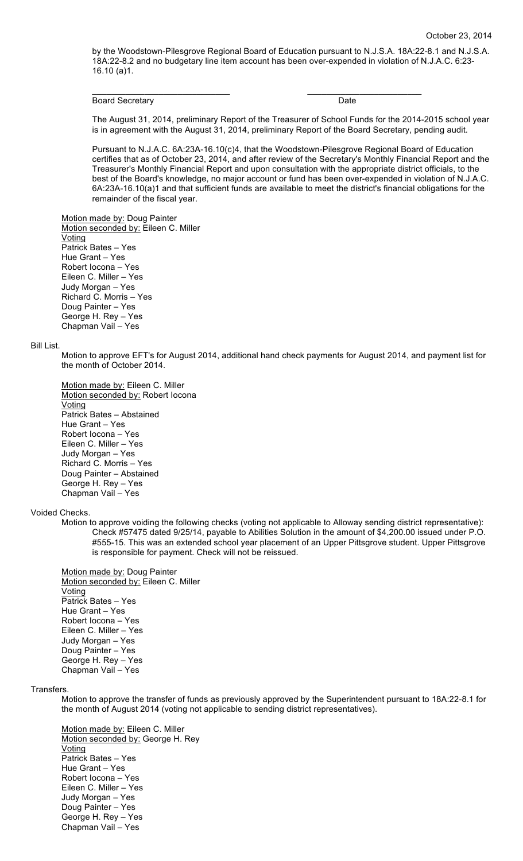by the Woodstown-Pilesgrove Regional Board of Education pursuant to N.J.S.A. 18A:22-8.1 and N.J.S.A. 18A:22-8.2 and no budgetary line item account has been over-expended in violation of N.J.A.C. 6:23- 16.10 (a)1.

\_\_\_\_\_\_\_\_\_\_\_\_\_\_\_\_\_\_\_\_\_\_\_\_\_\_\_\_\_ \_\_\_\_\_\_\_\_\_\_\_\_\_\_\_\_\_\_\_\_\_\_\_\_

Board Secretary **Date** 

The August 31, 2014, preliminary Report of the Treasurer of School Funds for the 2014-2015 school year is in agreement with the August 31, 2014, preliminary Report of the Board Secretary, pending audit.

Pursuant to N.J.A.C. 6A:23A-16.10(c)4, that the Woodstown-Pilesgrove Regional Board of Education certifies that as of October 23, 2014, and after review of the Secretary's Monthly Financial Report and the Treasurer's Monthly Financial Report and upon consultation with the appropriate district officials, to the best of the Board's knowledge, no major account or fund has been over-expended in violation of N.J.A.C. 6A:23A-16.10(a)1 and that sufficient funds are available to meet the district's financial obligations for the remainder of the fiscal year.

Motion made by: Doug Painter Motion seconded by: Eileen C. Miller **Voting** Patrick Bates – Yes Hue Grant – Yes Robert Iocona – Yes Eileen C. Miller – Yes Judy Morgan – Yes Richard C. Morris – Yes Doug Painter – Yes George H. Rey – Yes Chapman Vail – Yes

### Bill List.

Motion to approve EFT's for August 2014, additional hand check payments for August 2014, and payment list for the month of October 2014.

Motion made by: Eileen C. Miller Motion seconded by: Robert Iocona Voting Patrick Bates – Abstained Hue Grant – Yes Robert Iocona – Yes Eileen C. Miller – Yes Judy Morgan – Yes Richard C. Morris – Yes Doug Painter – Abstained George H. Rey – Yes Chapman Vail – Yes

## Voided Checks.

Motion to approve voiding the following checks (voting not applicable to Alloway sending district representative): Check #57475 dated 9/25/14, payable to Abilities Solution in the amount of \$4,200.00 issued under P.O. #555-15. This was an extended school year placement of an Upper Pittsgrove student. Upper Pittsgrove is responsible for payment. Check will not be reissued.

Motion made by: Doug Painter Motion seconded by: Eileen C. Miller Voting Patrick Bates – Yes Hue Grant – Yes Robert Iocona – Yes Eileen C. Miller – Yes Judy Morgan – Yes Doug Painter – Yes George H. Rey – Yes Chapman Vail – Yes

## Transfers.

Motion to approve the transfer of funds as previously approved by the Superintendent pursuant to 18A:22-8.1 for the month of August 2014 (voting not applicable to sending district representatives).

Motion made by: Eileen C. Miller Motion seconded by: George H. Rey Voting Patrick Bates – Yes Hue Grant – Yes Robert Iocona – Yes Eileen C. Miller – Yes Judy Morgan – Yes Doug Painter – Yes George H. Rey – Yes Chapman Vail – Yes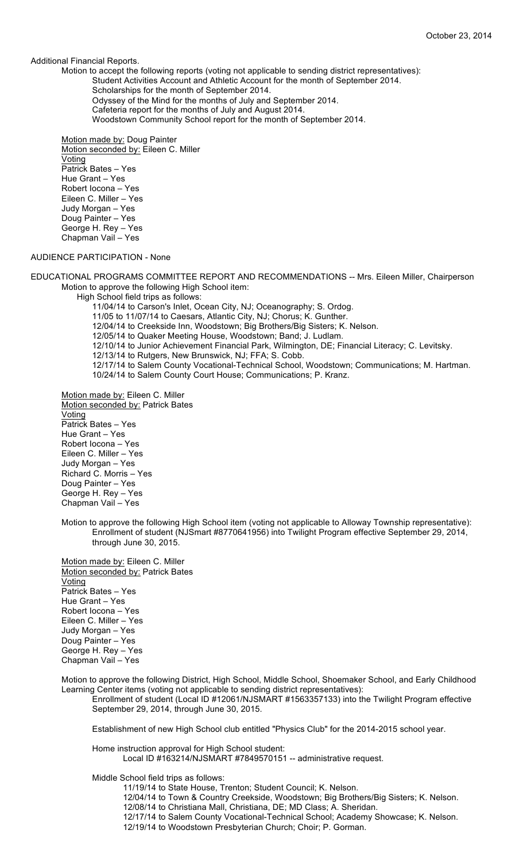Additional Financial Reports.

Motion to accept the following reports (voting not applicable to sending district representatives):

- Student Activities Account and Athletic Account for the month of September 2014.
	- Scholarships for the month of September 2014.
	- Odyssey of the Mind for the months of July and September 2014.
	- Cafeteria report for the months of July and August 2014.
	- Woodstown Community School report for the month of September 2014.

Motion made by: Doug Painter Motion seconded by: Eileen C. Miller Voting Patrick Bates – Yes Hue Grant – Yes Robert Iocona – Yes Eileen C. Miller – Yes Judy Morgan – Yes Doug Painter – Yes George H. Rey – Yes Chapman Vail – Yes

# AUDIENCE PARTICIPATION - None

EDUCATIONAL PROGRAMS COMMITTEE REPORT AND RECOMMENDATIONS -- Mrs. Eileen Miller, Chairperson Motion to approve the following High School item:

High School field trips as follows:

11/04/14 to Carson's Inlet, Ocean City, NJ; Oceanography; S. Ordog.

11/05 to 11/07/14 to Caesars, Atlantic City, NJ; Chorus; K. Gunther.

12/04/14 to Creekside Inn, Woodstown; Big Brothers/Big Sisters; K. Nelson.

12/05/14 to Quaker Meeting House, Woodstown; Band; J. Ludlam.

12/10/14 to Junior Achievement Financial Park, Wilmington, DE; Financial Literacy; C. Levitsky.

12/13/14 to Rutgers, New Brunswick, NJ; FFA; S. Cobb.

12/17/14 to Salem County Vocational-Technical School, Woodstown; Communications; M. Hartman. 10/24/14 to Salem County Court House; Communications; P. Kranz.

Motion made by: Eileen C. Miller Motion seconded by: Patrick Bates **Voting** Patrick Bates – Yes Hue Grant – Yes Robert Iocona – Yes Eileen C. Miller – Yes Judy Morgan – Yes Richard C. Morris – Yes Doug Painter – Yes George H. Rey – Yes Chapman Vail – Yes

Motion to approve the following High School item (voting not applicable to Alloway Township representative): Enrollment of student (NJSmart #8770641956) into Twilight Program effective September 29, 2014, through June 30, 2015.

Motion made by: Eileen C. Miller Motion seconded by: Patrick Bates **Voting** Patrick Bates – Yes Hue Grant – Yes Robert Iocona – Yes Eileen C. Miller – Yes Judy Morgan – Yes Doug Painter – Yes George H. Rey – Yes Chapman Vail – Yes

Motion to approve the following District, High School, Middle School, Shoemaker School, and Early Childhood Learning Center items (voting not applicable to sending district representatives):

Enrollment of student (Local ID #12061/NJSMART #1563357133) into the Twilight Program effective September 29, 2014, through June 30, 2015.

Establishment of new High School club entitled "Physics Club" for the 2014-2015 school year.

Home instruction approval for High School student: Local ID #163214/NJSMART #7849570151 -- administrative request.

Middle School field trips as follows:

11/19/14 to State House, Trenton; Student Council; K. Nelson.

12/04/14 to Town & Country Creekside, Woodstown; Big Brothers/Big Sisters; K. Nelson.

12/08/14 to Christiana Mall, Christiana, DE; MD Class; A. Sheridan.

12/17/14 to Salem County Vocational-Technical School; Academy Showcase; K. Nelson.

12/19/14 to Woodstown Presbyterian Church; Choir; P. Gorman.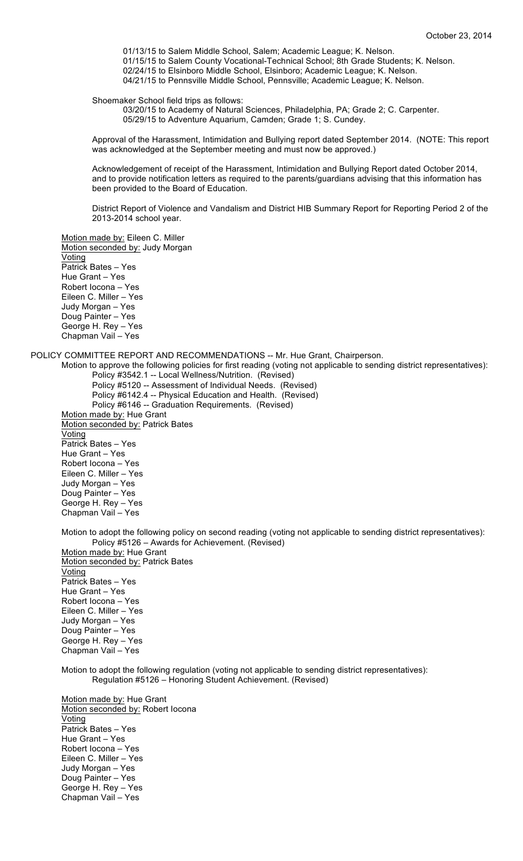01/13/15 to Salem Middle School, Salem; Academic League; K. Nelson. 01/15/15 to Salem County Vocational-Technical School; 8th Grade Students; K. Nelson. 02/24/15 to Elsinboro Middle School, Elsinboro; Academic League; K. Nelson. 04/21/15 to Pennsville Middle School, Pennsville; Academic League; K. Nelson.

Shoemaker School field trips as follows:

03/20/15 to Academy of Natural Sciences, Philadelphia, PA; Grade 2; C. Carpenter. 05/29/15 to Adventure Aquarium, Camden; Grade 1; S. Cundey.

Approval of the Harassment, Intimidation and Bullying report dated September 2014. (NOTE: This report was acknowledged at the September meeting and must now be approved.)

Acknowledgement of receipt of the Harassment, Intimidation and Bullying Report dated October 2014, and to provide notification letters as required to the parents/guardians advising that this information has been provided to the Board of Education.

District Report of Violence and Vandalism and District HIB Summary Report for Reporting Period 2 of the 2013-2014 school year.

Motion made by: Eileen C. Miller Motion seconded by: Judy Morgan Voting Patrick Bates – Yes Hue Grant – Yes Robert Iocona – Yes Eileen C. Miller – Yes Judy Morgan – Yes Doug Painter – Yes George H. Rey – Yes Chapman Vail – Yes

POLICY COMMITTEE REPORT AND RECOMMENDATIONS -- Mr. Hue Grant, Chairperson.

Motion to approve the following policies for first reading (voting not applicable to sending district representatives): Policy #3542.1 -- Local Wellness/Nutrition. (Revised)

Policy #5120 -- Assessment of Individual Needs. (Revised) Policy #6142.4 -- Physical Education and Health. (Revised) Policy #6146 -- Graduation Requirements. (Revised) Motion made by: Hue Grant Motion seconded by: Patrick Bates Voting Patrick Bates – Yes Hue Grant – Yes Robert Iocona – Yes Eileen C. Miller – Yes Judy Morgan – Yes

Doug Painter – Yes George H. Rey – Yes Chapman Vail – Yes

Motion to adopt the following policy on second reading (voting not applicable to sending district representatives): Policy #5126 – Awards for Achievement. (Revised)

Motion made by: Hue Grant Motion seconded by: Patrick Bates Voting Patrick Bates – Yes Hue Grant – Yes Robert Iocona – Yes Eileen C. Miller – Yes Judy Morgan – Yes Doug Painter – Yes George H. Rey – Yes Chapman Vail – Yes

Motion to adopt the following regulation (voting not applicable to sending district representatives): Regulation #5126 – Honoring Student Achievement. (Revised)

Motion made by: Hue Grant Motion seconded by: Robert Iocona **Voting** Patrick Bates – Yes Hue Grant – Yes Robert Iocona – Yes Eileen C. Miller – Yes Judy Morgan – Yes Doug Painter – Yes George H. Rey – Yes Chapman Vail – Yes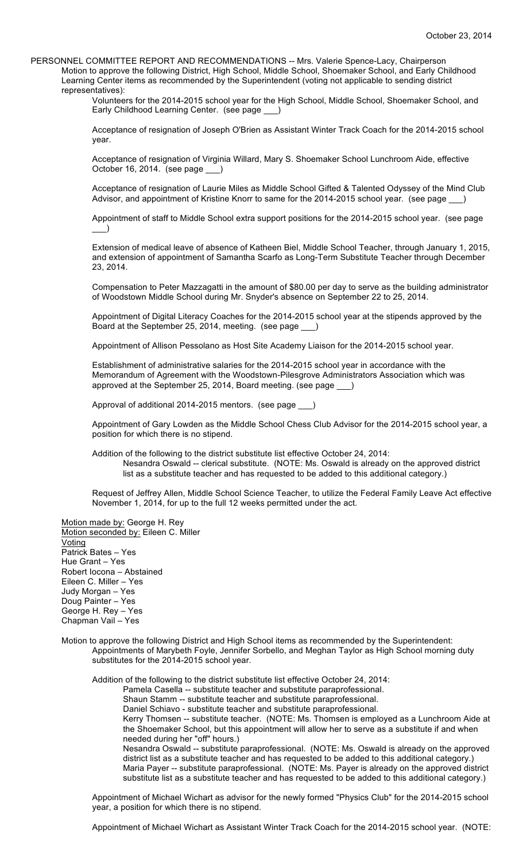PERSONNEL COMMITTEE REPORT AND RECOMMENDATIONS -- Mrs. Valerie Spence-Lacy, Chairperson Motion to approve the following District, High School, Middle School, Shoemaker School, and Early Childhood Learning Center items as recommended by the Superintendent (voting not applicable to sending district representatives):

Volunteers for the 2014-2015 school year for the High School, Middle School, Shoemaker School, and Early Childhood Learning Center. (see page \_\_\_)

Acceptance of resignation of Joseph O'Brien as Assistant Winter Track Coach for the 2014-2015 school year.

Acceptance of resignation of Virginia Willard, Mary S. Shoemaker School Lunchroom Aide, effective October 16, 2014. (see page \_

Acceptance of resignation of Laurie Miles as Middle School Gifted & Talented Odyssey of the Mind Club Advisor, and appointment of Kristine Knorr to same for the 2014-2015 school year. (see page \_\_)

Appointment of staff to Middle School extra support positions for the 2014-2015 school year. (see page  $\qquad)$ 

Extension of medical leave of absence of Katheen Biel, Middle School Teacher, through January 1, 2015, and extension of appointment of Samantha Scarfo as Long-Term Substitute Teacher through December 23, 2014.

Compensation to Peter Mazzagatti in the amount of \$80.00 per day to serve as the building administrator of Woodstown Middle School during Mr. Snyder's absence on September 22 to 25, 2014.

Appointment of Digital Literacy Coaches for the 2014-2015 school year at the stipends approved by the Board at the September 25, 2014, meeting. (see page \_\_\_)

Appointment of Allison Pessolano as Host Site Academy Liaison for the 2014-2015 school year.

Establishment of administrative salaries for the 2014-2015 school year in accordance with the Memorandum of Agreement with the Woodstown-Pilesgrove Administrators Association which was approved at the September 25, 2014, Board meeting. (see page \_\_\_)

Approval of additional 2014-2015 mentors. (see page \_\_\_)

Appointment of Gary Lowden as the Middle School Chess Club Advisor for the 2014-2015 school year, a position for which there is no stipend.

Addition of the following to the district substitute list effective October 24, 2014:

Nesandra Oswald -- clerical substitute. (NOTE: Ms. Oswald is already on the approved district list as a substitute teacher and has requested to be added to this additional category.)

Request of Jeffrey Allen, Middle School Science Teacher, to utilize the Federal Family Leave Act effective November 1, 2014, for up to the full 12 weeks permitted under the act.

Motion made by: George H. Rey Motion seconded by: Eileen C. Miller Voting Patrick Bates – Yes Hue Grant – Yes Robert Iocona – Abstained Eileen C. Miller – Yes Judy Morgan – Yes Doug Painter – Yes George H. Rey – Yes Chapman Vail – Yes

Motion to approve the following District and High School items as recommended by the Superintendent: Appointments of Marybeth Foyle, Jennifer Sorbello, and Meghan Taylor as High School morning duty substitutes for the 2014-2015 school year.

Addition of the following to the district substitute list effective October 24, 2014: Pamela Casella -- substitute teacher and substitute paraprofessional. Shaun Stamm -- substitute teacher and substitute paraprofessional. Daniel Schiavo - substitute teacher and substitute paraprofessional. Kerry Thomsen -- substitute teacher. (NOTE: Ms. Thomsen is employed as a Lunchroom Aide at the Shoemaker School, but this appointment will allow her to serve as a substitute if and when needed during her "off" hours.) Nesandra Oswald -- substitute paraprofessional. (NOTE: Ms. Oswald is already on the approved district list as a substitute teacher and has requested to be added to this additional category.) Maria Payer -- substitute paraprofessional. (NOTE: Ms. Payer is already on the approved district substitute list as a substitute teacher and has requested to be added to this additional category.)

Appointment of Michael Wichart as advisor for the newly formed "Physics Club" for the 2014-2015 school year, a position for which there is no stipend.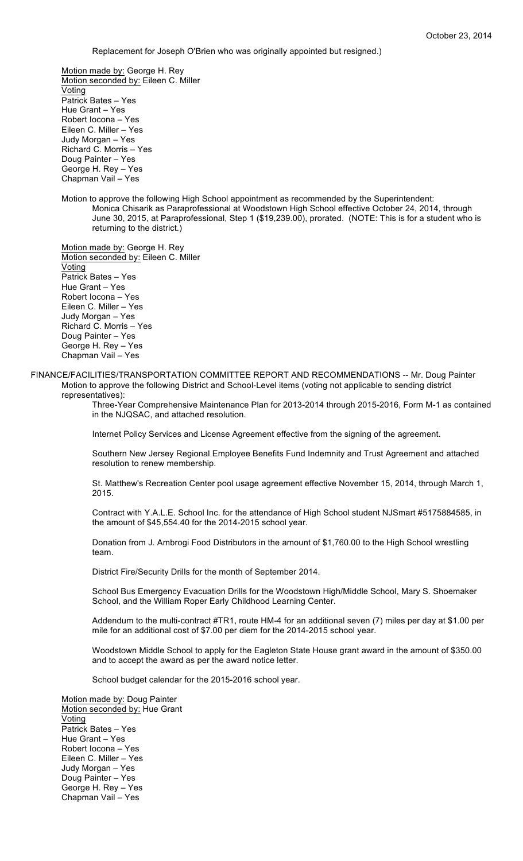Replacement for Joseph O'Brien who was originally appointed but resigned.)

Motion made by: George H. Rey Motion seconded by: Eileen C. Miller **Voting** Patrick Bates – Yes Hue Grant – Yes Robert Iocona – Yes Eileen C. Miller – Yes Judy Morgan – Yes Richard C. Morris – Yes Doug Painter – Yes George H. Rey – Yes Chapman Vail – Yes

Motion to approve the following High School appointment as recommended by the Superintendent: Monica Chisarik as Paraprofessional at Woodstown High School effective October 24, 2014, through June 30, 2015, at Paraprofessional, Step 1 (\$19,239.00), prorated. (NOTE: This is for a student who is returning to the district.)

Motion made by: George H. Rey Motion seconded by: Eileen C. Miller Voting Patrick Bates – Yes Hue Grant – Yes Robert Iocona – Yes Eileen C. Miller – Yes Judy Morgan – Yes Richard C. Morris – Yes Doug Painter – Yes George H. Rey – Yes

Chapman Vail – Yes

# FINANCE/FACILITIES/TRANSPORTATION COMMITTEE REPORT AND RECOMMENDATIONS -- Mr. Doug Painter Motion to approve the following District and School-Level items (voting not applicable to sending district representatives):

Three-Year Comprehensive Maintenance Plan for 2013-2014 through 2015-2016, Form M-1 as contained in the NJQSAC, and attached resolution.

Internet Policy Services and License Agreement effective from the signing of the agreement.

Southern New Jersey Regional Employee Benefits Fund Indemnity and Trust Agreement and attached resolution to renew membership.

St. Matthew's Recreation Center pool usage agreement effective November 15, 2014, through March 1, 2015.

Contract with Y.A.L.E. School Inc. for the attendance of High School student NJSmart #5175884585, in the amount of \$45,554.40 for the 2014-2015 school year.

Donation from J. Ambrogi Food Distributors in the amount of \$1,760.00 to the High School wrestling team.

District Fire/Security Drills for the month of September 2014.

School Bus Emergency Evacuation Drills for the Woodstown High/Middle School, Mary S. Shoemaker School, and the William Roper Early Childhood Learning Center.

Addendum to the multi-contract #TR1, route HM-4 for an additional seven (7) miles per day at \$1.00 per mile for an additional cost of \$7.00 per diem for the 2014-2015 school year.

Woodstown Middle School to apply for the Eagleton State House grant award in the amount of \$350.00 and to accept the award as per the award notice letter.

School budget calendar for the 2015-2016 school year.

Motion made by: Doug Painter Motion seconded by: Hue Grant **Voting** Patrick Bates – Yes Hue Grant – Yes Robert Iocona – Yes Eileen C. Miller – Yes Judy Morgan – Yes Doug Painter – Yes George H. Rey – Yes Chapman Vail – Yes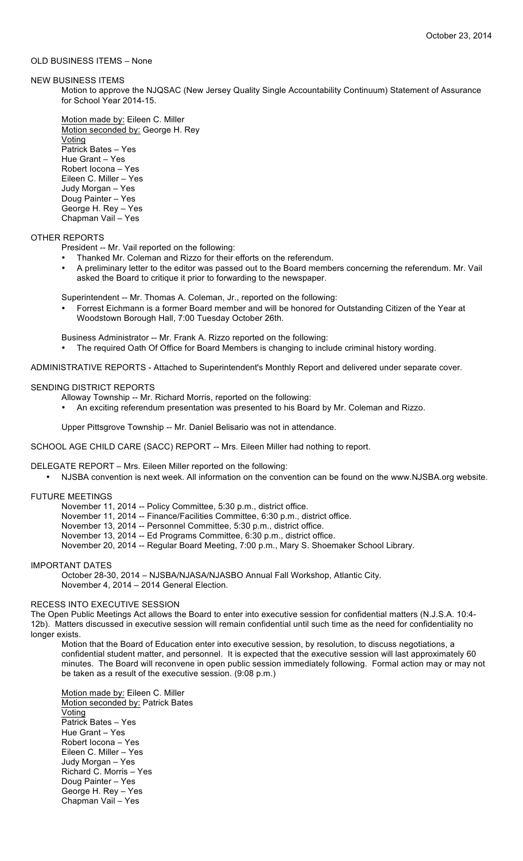# OLD BUSINESS ITEMS – None

NEW BUSINESS ITEMS

Motion to approve the NJQSAC (New Jersey Quality Single Accountability Continuum) Statement of Assurance for School Year 2014-15.

Motion made by: Eileen C. Miller Motion seconded by: George H. Rey **Voting** Patrick Bates – Yes Hue Grant – Yes Robert Iocona – Yes Eileen C. Miller – Yes Judy Morgan – Yes Doug Painter – Yes George H. Rey – Yes Chapman Vail – Yes

## OTHER REPORTS

- President -- Mr. Vail reported on the following:
- Thanked Mr. Coleman and Rizzo for their efforts on the referendum.
- A preliminary letter to the editor was passed out to the Board members concerning the referendum. Mr. Vail asked the Board to critique it prior to forwarding to the newspaper.

Superintendent -- Mr. Thomas A. Coleman, Jr., reported on the following:

• Forrest Eichmann is a former Board member and will be honored for Outstanding Citizen of the Year at Woodstown Borough Hall, 7:00 Tuesday October 26th.

Business Administrator -- Mr. Frank A. Rizzo reported on the following:

• The required Oath Of Office for Board Members is changing to include criminal history wording.

ADMINISTRATIVE REPORTS - Attached to Superintendent's Monthly Report and delivered under separate cover.

## SENDING DISTRICT REPORTS

Alloway Township -- Mr. Richard Morris, reported on the following:

• An exciting referendum presentation was presented to his Board by Mr. Coleman and Rizzo.

Upper Pittsgrove Township -- Mr. Daniel Belisario was not in attendance.

SCHOOL AGE CHILD CARE (SACC) REPORT -- Mrs. Eileen Miller had nothing to report.

DELEGATE REPORT – Mrs. Eileen Miller reported on the following:

• NJSBA convention is next week. All information on the convention can be found on the www.NJSBA.org website.

# FUTURE MEETINGS

- November 11, 2014 -- Policy Committee, 5:30 p.m., district office.
- November 11, 2014 -- Finance/Facilities Committee, 6:30 p.m., district office.
- November 13, 2014 -- Personnel Committee, 5:30 p.m., district office.
- November 13, 2014 -- Ed Programs Committee, 6:30 p.m., district office.
- November 20, 2014 -- Regular Board Meeting, 7:00 p.m., Mary S. Shoemaker School Library.

IMPORTANT DATES

October 28-30, 2014 – NJSBA/NJASA/NJASBO Annual Fall Workshop, Atlantic City. November 4, 2014 – 2014 General Election.

## RECESS INTO EXECUTIVE SESSION

The Open Public Meetings Act allows the Board to enter into executive session for confidential matters (N.J.S.A. 10:4- 12b). Matters discussed in executive session will remain confidential until such time as the need for confidentiality no longer exists.

Motion that the Board of Education enter into executive session, by resolution, to discuss negotiations, a confidential student matter, and personnel. It is expected that the executive session will last approximately 60 minutes. The Board will reconvene in open public session immediately following. Formal action may or may not be taken as a result of the executive session. (9:08 p.m.)

Motion made by: Eileen C. Miller Motion seconded by: Patrick Bates Voting Patrick Bates – Yes Hue Grant – Yes Robert Iocona – Yes Eileen C. Miller – Yes Judy Morgan – Yes Richard C. Morris – Yes Doug Painter – Yes George H. Rey – Yes Chapman Vail – Yes